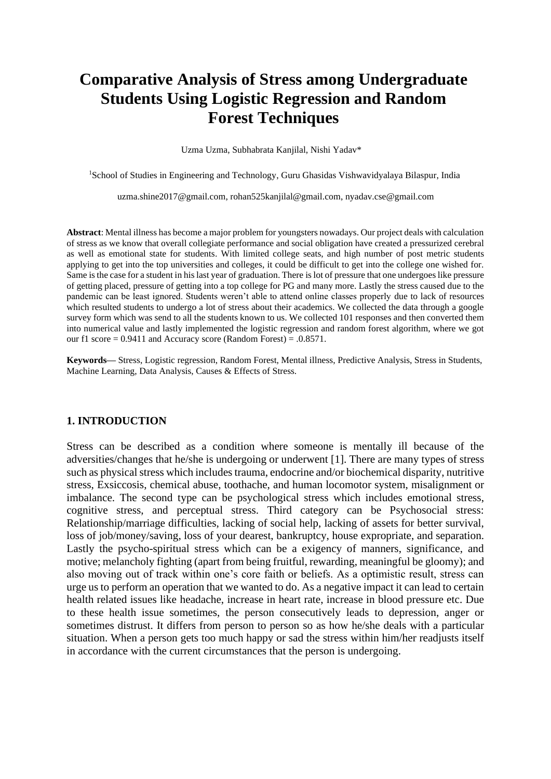# **Comparative Analysis of Stress among Undergraduate Students Using Logistic Regression and Random Forest Techniques**

Uzma Uzma, Subhabrata Kanjilal, Nishi Yadav\*

<sup>1</sup>School of Studies in Engineering and Technology, Guru Ghasidas Vishwavidyalaya Bilaspur, India

[uzma.shine2017@gmail.com,](mailto:uzma.shine2017@gmail.com) [rohan525kanjilal@gmail.com,](mailto:rohan525kanjilal@gmail.com) nyadav.cse@gmail.com

**Abstract**: Mental illness has become a major problem for youngsters nowadays. Our project deals with calculation of stress as we know that overall collegiate performance and social obligation have created a pressurized cerebral as well as emotional state for students. With limited college seats, and high number of post metric students applying to get into the top universities and colleges, it could be difficult to get into the college one wished for. Same is the case for a student in his last year of graduation. There is lot of pressure that one undergoes like pressure of getting placed, pressure of getting into a top college for PG and many more. Lastly the stress caused due to the pandemic can be least ignored. Students weren't able to attend online classes properly due to lack of resources which resulted students to undergo a lot of stress about their academics. We collected the data through a google survey form which was send to all the students known to us. We collected 101 responses and then converted them into numerical value and lastly implemented the logistic regression and random forest algorithm, where we got our f1 score =  $0.9411$  and Accuracy score (Random Forest) =  $.0.8571$ .

**Keywords—** Stress, Logistic regression, Random Forest, Mental illness, Predictive Analysis, Stress in Students, Machine Learning, Data Analysis, Causes & Effects of Stress.

#### **1. INTRODUCTION**

Stress can be described as a condition where someone is mentally ill because of the adversities/changes that he/she is undergoing or underwent [1]. There are many types of stress such as physical stress which includes trauma, endocrine and/or biochemical disparity, nutritive stress, Exsiccosis, chemical abuse, toothache, and human locomotor system, misalignment or imbalance. The second type can be psychological stress which includes emotional stress, cognitive stress, and perceptual stress. Third category can be Psychosocial stress: Relationship/marriage difficulties, lacking of social help, lacking of assets for better survival, loss of job/money/saving, loss of your dearest, bankruptcy, house expropriate, and separation. Lastly the psycho-spiritual stress which can be a exigency of manners, significance, and motive; melancholy fighting (apart from being fruitful, rewarding, meaningful be gloomy); and also moving out of track within one's core faith or beliefs. As a optimistic result, stress can urge us to perform an operation that we wanted to do. As a negative impact it can lead to certain health related issues like headache, increase in heart rate, increase in blood pressure etc. Due to these health issue sometimes, the person consecutively leads to depression, anger or sometimes distrust. It differs from person to person so as how he/she deals with a particular situation. When a person gets too much happy or sad the stress within him/her readjusts itself in accordance with the current circumstances that the person is undergoing.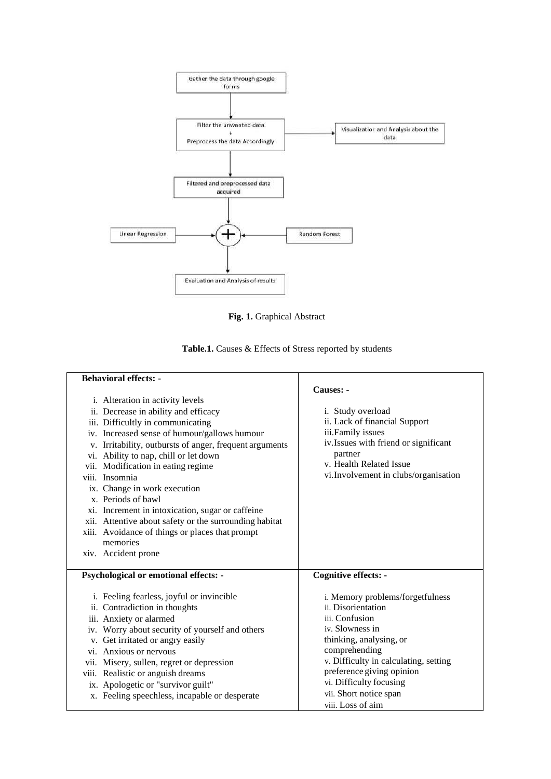

**Fig. 1.** Graphical Abstract

| Table.1. Causes & Effects of Stress reported by students |  |  |  |  |  |
|----------------------------------------------------------|--|--|--|--|--|
|                                                          |  |  |  |  |  |

| <b>Behavioral effects: -</b>                            |                                       |
|---------------------------------------------------------|---------------------------------------|
|                                                         | Causes: -                             |
| i. Alteration in activity levels                        |                                       |
| ii. Decrease in ability and efficacy                    | i. Study overload                     |
| iii. Difficultly in communicating                       | ii. Lack of financial Support         |
| iv. Increased sense of humour/gallows humour            | iii.Family issues                     |
| v. Irritability, outbursts of anger, frequent arguments | iv. Issues with friend or significant |
| vi. Ability to nap, chill or let down                   | partner                               |
| vii. Modification in eating regime                      | v. Health Related Issue               |
| viii. Insomnia                                          | vi. Involvement in clubs/organisation |
| ix. Change in work execution                            |                                       |
| x. Periods of bawl                                      |                                       |
| xi. Increment in intoxication, sugar or caffeine        |                                       |
| xii. Attentive about safety or the surrounding habitat  |                                       |
| xiii. Avoidance of things or places that prompt         |                                       |
| memories                                                |                                       |
| xiv. Accident prone                                     |                                       |
| Psychological or emotional effects: -                   | <b>Cognitive effects: -</b>           |
| i. Feeling fearless, joyful or invincible               | i. Memory problems/forgetfulness      |
| ii. Contradiction in thoughts                           | ii. Disorientation                    |
| iii. Anxiety or alarmed                                 | iii. Confusion                        |
| iv. Worry about security of yourself and others         | iv. Slowness in                       |
| v. Get irritated or angry easily                        | thinking, analysing, or               |
| vi. Anxious or nervous                                  | comprehending                         |
| vii. Misery, sullen, regret or depression               | v. Difficulty in calculating, setting |
| viii. Realistic or anguish dreams                       | preference giving opinion             |
| ix. Apologetic or "survivor guilt"                      | vi. Difficulty focusing               |
| x. Feeling speechless, incapable or desperate           | vii. Short notice span                |
|                                                         | viii. Loss of aim                     |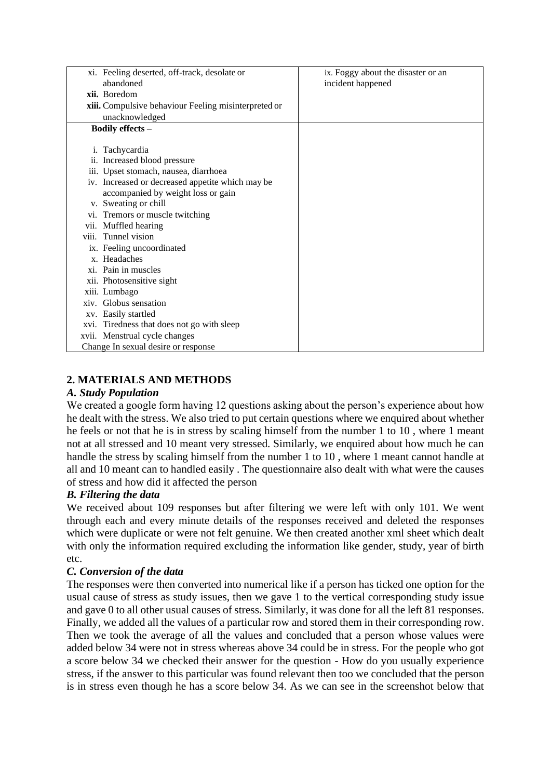|                               | xi. Feeling deserted, off-track, desolate or         | ix. Foggy about the disaster or an |
|-------------------------------|------------------------------------------------------|------------------------------------|
| abandoned                     |                                                      | incident happened                  |
| xii. Boredom                  |                                                      |                                    |
|                               | xiii. Compulsive behaviour Feeling misinterpreted or |                                    |
| unacknowledged                |                                                      |                                    |
| Bodily effects -              |                                                      |                                    |
|                               |                                                      |                                    |
| i. Tachycardia                |                                                      |                                    |
| 11.                           | Increased blood pressure                             |                                    |
|                               | iii. Upset stomach, nausea, diarrhoea                |                                    |
|                               | iv. Increased or decreased appetite which may be     |                                    |
|                               | accompanied by weight loss or gain                   |                                    |
| v. Sweating or chill          |                                                      |                                    |
|                               | vi. Tremors or muscle twitching                      |                                    |
| vii. Muffled hearing          |                                                      |                                    |
| viii. Tunnel vision           |                                                      |                                    |
| ix. Feeling uncoordinated     |                                                      |                                    |
| x. Headaches                  |                                                      |                                    |
| xi. Pain in muscles           |                                                      |                                    |
| xii. Photosensitive sight     |                                                      |                                    |
| xiii. Lumbago                 |                                                      |                                    |
| xiv. Globus sensation         |                                                      |                                    |
| xv. Easily startled           |                                                      |                                    |
|                               | xvi. Tiredness that does not go with sleep           |                                    |
| xvii. Menstrual cycle changes |                                                      |                                    |
|                               | Change In sexual desire or response                  |                                    |

## **2. MATERIALS AND METHODS**

## *A. Study Population*

We created a google form having 12 questions asking about the person's experience about how he dealt with the stress. We also tried to put certain questions where we enquired about whether he feels or not that he is in stress by scaling himself from the number 1 to 10 , where 1 meant not at all stressed and 10 meant very stressed. Similarly, we enquired about how much he can handle the stress by scaling himself from the number 1 to 10 , where 1 meant cannot handle at all and 10 meant can to handled easily . The questionnaire also dealt with what were the causes of stress and how did it affected the person

## *B. Filtering the data*

We received about 109 responses but after filtering we were left with only 101. We went through each and every minute details of the responses received and deleted the responses which were duplicate or were not felt genuine. We then created another xml sheet which dealt with only the information required excluding the information like gender, study, year of birth etc.

## *C. Conversion of the data*

The responses were then converted into numerical like if a person has ticked one option for the usual cause of stress as study issues, then we gave 1 to the vertical corresponding study issue and gave 0 to all other usual causes of stress. Similarly, it was done for all the left 81 responses. Finally, we added all the values of a particular row and stored them in their corresponding row. Then we took the average of all the values and concluded that a person whose values were added below 34 were not in stress whereas above 34 could be in stress. For the people who got a score below 34 we checked their answer for the question - How do you usually experience stress, if the answer to this particular was found relevant then too we concluded that the person is in stress even though he has a score below 34. As we can see in the screenshot below that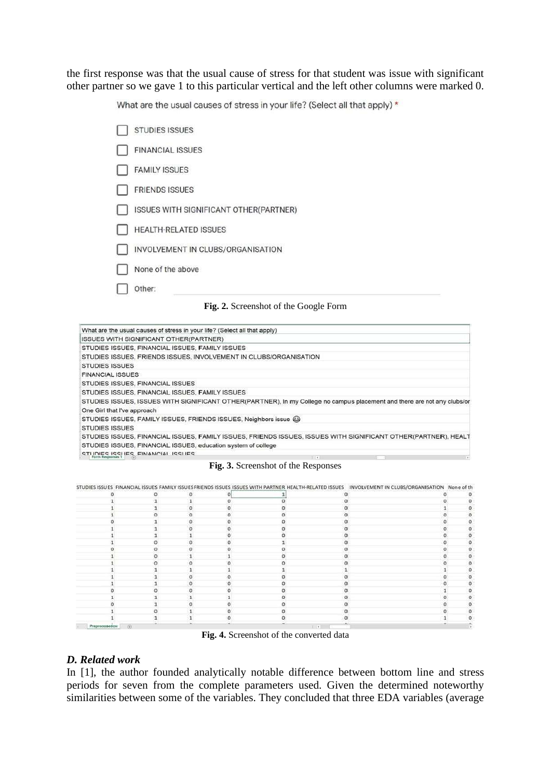the first response was that the usual cause of stress for that student was issue with significant other partner so we gave 1 to this particular vertical and the left other columns were marked 0.

What are the usual causes of stress in your life? (Select all that apply) \*

|  | <b>STUDIES ISSUES</b>                                                                 |
|--|---------------------------------------------------------------------------------------|
|  | <b>FINANCIAL ISSUES</b>                                                               |
|  | <b>FAMILY ISSUES</b>                                                                  |
|  | <b>FRIENDS ISSUES</b>                                                                 |
|  | ISSUES WITH SIGNIFICANT OTHER(PARTNER)                                                |
|  | <b>HEALTH-RELATED ISSUES</b>                                                          |
|  | INVOLVEMENT IN CLUBS/ORGANISATION                                                     |
|  | None of the above                                                                     |
|  | Other:                                                                                |
|  | $\sim$<br>$\sim$ $\sim$ $\sim$ $\sim$ $\sim$<br>$\sim$ $\sim$<br>$\sim$ $\sim$ $\sim$ |

**Fig. 2.** Screenshot of the Google Form

| What are the usual causes of stress in your life? (Select all that apply) |                                                                                                                          |
|---------------------------------------------------------------------------|--------------------------------------------------------------------------------------------------------------------------|
| ISSUES WITH SIGNIFICANT OTHER(PARTNER)                                    |                                                                                                                          |
| STUDIES ISSUES, FINANCIAL ISSUES, FAMILY ISSUES                           |                                                                                                                          |
| STUDIES ISSUES, FRIENDS ISSUES, INVOLVEMENT IN CLUBS/ORGANISATION         |                                                                                                                          |
| <b>STUDIES ISSUES</b>                                                     |                                                                                                                          |
| <b>FINANCIAL ISSUES</b>                                                   |                                                                                                                          |
| STUDIES ISSUES, FINANCIAL ISSUES                                          |                                                                                                                          |
| STUDIES ISSUES, FINANCIAL ISSUES, FAMILY ISSUES                           |                                                                                                                          |
|                                                                           | STUDIES ISSUES, ISSUES WITH SIGNIFICANT OTHER(PARTNER), In my College no campus placement and there are not any clubs/or |
| One Girl that I've approach                                               |                                                                                                                          |
| STUDIES ISSUES, FAMILY ISSUES, FRIENDS ISSUES, Neighbors issue @          |                                                                                                                          |
| <b>STUDIES ISSUES</b>                                                     |                                                                                                                          |
|                                                                           | STUDIES ISSUES, FINANCIAL ISSUES, FAMILY ISSUES, FRIENDS ISSUES, ISSUES WITH SIGNIFICANT OTHER(PARTNER), HEALT           |
| STUDIES ISSUES, FINANCIAL ISSUES, education system of college             |                                                                                                                          |
| STUDIES ISSUES FINANCIAL ISSUES<br>Form Responses 1                       | $\mathbb{R}$<br>$\sim$                                                                                                   |
|                                                                           | <b>Fig. 3.</b> Screenshot of the Responses                                                                               |

|                         |  |  |           | $^{\circ}$ |
|-------------------------|--|--|-----------|------------|
|                         |  |  |           |            |
|                         |  |  |           |            |
|                         |  |  |           |            |
|                         |  |  |           | $\circ$    |
|                         |  |  |           | o          |
|                         |  |  |           | $\Omega$   |
|                         |  |  |           |            |
|                         |  |  |           | ø          |
|                         |  |  |           | $\alpha$   |
|                         |  |  |           |            |
|                         |  |  |           | $\circ$    |
|                         |  |  |           | $\Omega$   |
|                         |  |  |           | o          |
|                         |  |  |           |            |
|                         |  |  |           | o          |
|                         |  |  |           | $\alpha$   |
|                         |  |  |           |            |
|                         |  |  |           |            |
| Preprocessed car<br>(4) |  |  | $1.141 -$ |            |

**Fig. 4.** Screenshot of the converted data

#### *D. Related work*

In [1], the author founded analytically notable difference between bottom line and stress periods for seven from the complete parameters used. Given the determined noteworthy similarities between some of the variables. They concluded that three EDA variables (average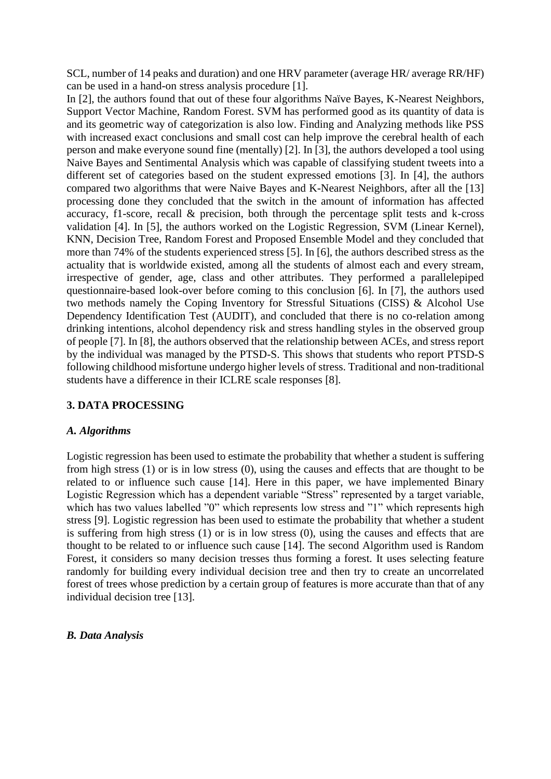SCL, number of 14 peaks and duration) and one HRV parameter (average HR/ average RR/HF) can be used in a hand-on stress analysis procedure [1].

In [2], the authors found that out of these four algorithms Naïve Bayes, K-Nearest Neighbors, Support Vector Machine, Random Forest. SVM has performed good as its quantity of data is and its geometric way of categorization is also low. Finding and Analyzing methods like PSS with increased exact conclusions and small cost can help improve the cerebral health of each person and make everyone sound fine (mentally) [2]. In [3], the authors developed a tool using Naive Bayes and Sentimental Analysis which was capable of classifying student tweets into a different set of categories based on the student expressed emotions [3]. In [4], the authors compared two algorithms that were Naive Bayes and K-Nearest Neighbors, after all the [13] processing done they concluded that the switch in the amount of information has affected accuracy, f1-score, recall & precision, both through the percentage split tests and k-cross validation [4]. In [5], the authors worked on the Logistic Regression, SVM (Linear Kernel), KNN, Decision Tree, Random Forest and Proposed Ensemble Model and they concluded that more than 74% of the students experienced stress [5]. In [6], the authors described stress as the actuality that is worldwide existed, among all the students of almost each and every stream, irrespective of gender, age, class and other attributes. They performed a parallelepiped questionnaire-based look-over before coming to this conclusion [6]. In [7], the authors used two methods namely the Coping Inventory for Stressful Situations (CISS) & Alcohol Use Dependency Identification Test (AUDIT), and concluded that there is no co-relation among drinking intentions, alcohol dependency risk and stress handling styles in the observed group of people [7]. In [8], the authors observed that the relationship between ACEs, and stress report by the individual was managed by the PTSD-S. This shows that students who report PTSD-S following childhood misfortune undergo higher levels of stress. Traditional and non-traditional students have a difference in their ICLRE scale responses [8].

### **3. DATA PROCESSING**

#### *A. Algorithms*

Logistic regression has been used to estimate the probability that whether a student is suffering from high stress (1) or is in low stress (0), using the causes and effects that are thought to be related to or influence such cause [14]. Here in this paper, we have implemented Binary Logistic Regression which has a dependent variable "Stress" represented by a target variable, which has two values labelled "0" which represents low stress and "1" which represents high stress [9]. Logistic regression has been used to estimate the probability that whether a student is suffering from high stress (1) or is in low stress (0), using the causes and effects that are thought to be related to or influence such cause [14]. The second Algorithm used is Random Forest, it considers so many decision tresses thus forming a forest. It uses selecting feature randomly for building every individual decision tree and then try to create an uncorrelated forest of trees whose prediction by a certain group of features is more accurate than that of any individual decision tree [13].

### *B. Data Analysis*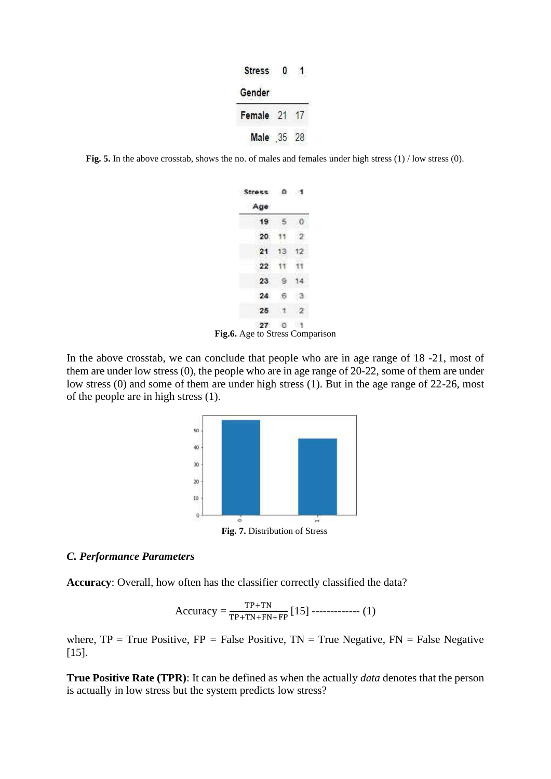| <b>Stress</b> |  |
|---------------|--|
| Gender        |  |
| Female        |  |
| Male          |  |

**Fig. 5.** In the above crosstab, shows the no. of males and females under high stress (1) / low stress (0).

| Stress 0     |               | ಾ                    |
|--------------|---------------|----------------------|
| Age          |               |                      |
| 19           | 5             |                      |
| 20           |               |                      |
| 21           | 13            |                      |
| 22           | 11.           |                      |
| 23           | -9            |                      |
| 24           | 6.            | ಾ                    |
| 25           | $\mathcal{A}$ | $\cdot$ <sub>2</sub> |
| 27<br>$\sim$ | -0            | 三性                   |

**Fig.6.** Age to Stress Comparison

In the above crosstab, we can conclude that people who are in age range of 18 -21, most of them are under low stress (0), the people who are in age range of 20-22, some of them are under low stress (0) and some of them are under high stress (1). But in the age range of 22-26, most of the people are in high stress (1).



**Fig. 7.** Distribution of Stress

### *C. Performance Parameters*

**Accuracy**: Overall, how often has the classifier correctly classified the data?

$$
Accuracy = \frac{TP + TN}{TP + TN + FN + FP} [15] \dots (1)
$$

where,  $TP = True$  Positive,  $FP = False$  Positive,  $TN = True$  Negative,  $FN = False$  Negative [15].

**True Positive Rate (TPR)**: It can be defined as when the actually *data* denotes that the person is actually in low stress but the system predicts low stress?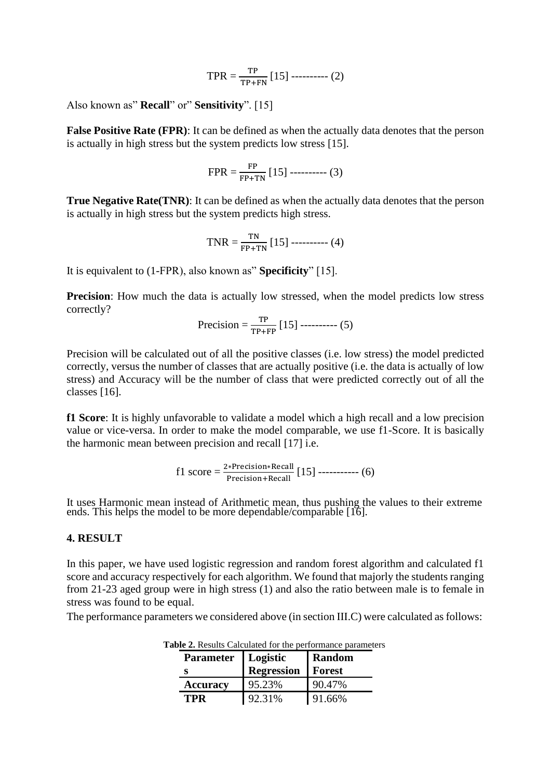TPR = 
$$
\frac{\text{TP}}{\text{TP+FN}}
$$
 [15]  $\dots$  (2)

Also known as" **Recall**" or" **Sensitivity**". [15]

**False Positive Rate (FPR)**: It can be defined as when the actually data denotes that the person is actually in high stress but the system predicts low stress [15].

$$
FPR = \frac{FP}{FP + TN} [15] \dots (3)
$$

**True Negative Rate(TNR):** It can be defined as when the actually data denotes that the person is actually in high stress but the system predicts high stress.

$$
TNR = \frac{TN}{FP+TN} [15] \dots (4)
$$

It is equivalent to (1-FPR), also known as" **Specificity**" [15].

**Precision**: How much the data is actually low stressed, when the model predicts low stress correctly?

Precision = 
$$
\frac{\text{TP}}{\text{TP+FP}}
$$
 [15]  $\dots$  (5)

Precision will be calculated out of all the positive classes (i.e. low stress) the model predicted correctly, versus the number of classes that are actually positive (i.e. the data is actually of low stress) and Accuracy will be the number of class that were predicted correctly out of all the classes [16].

**f1 Score**: It is highly unfavorable to validate a model which a high recall and a low precision value or vice-versa. In order to make the model comparable, we use f1-Score. It is basically the harmonic mean between precision and recall [17] i.e.

$$
f1 score = \frac{2*Precision*Recall}{Precision+Recall} [15] \dots (6)
$$

It uses Harmonic mean instead of Arithmetic mean, thus pushing the values to their extreme ends. This helps the model to be more dependable/comparable [16].

#### **4. RESULT**

In this paper, we have used logistic regression and random forest algorithm and calculated f1 score and accuracy respectively for each algorithm. We found that majorly the students ranging from 21-23 aged group were in high stress (1) and also the ratio between male is to female in stress was found to be equal.

The performance parameters we considered above (in section III.C) were calculated as follows:

| <b>Parameter</b> | Logistic<br><b>Regression</b> | <b>Random</b><br>Forest |
|------------------|-------------------------------|-------------------------|
| <b>Accuracy</b>  | 95.23%                        | 90.47%                  |
| TPR              | 92.31%                        | 91.66%                  |

**Table 2.** Results Calculated for the performance parameters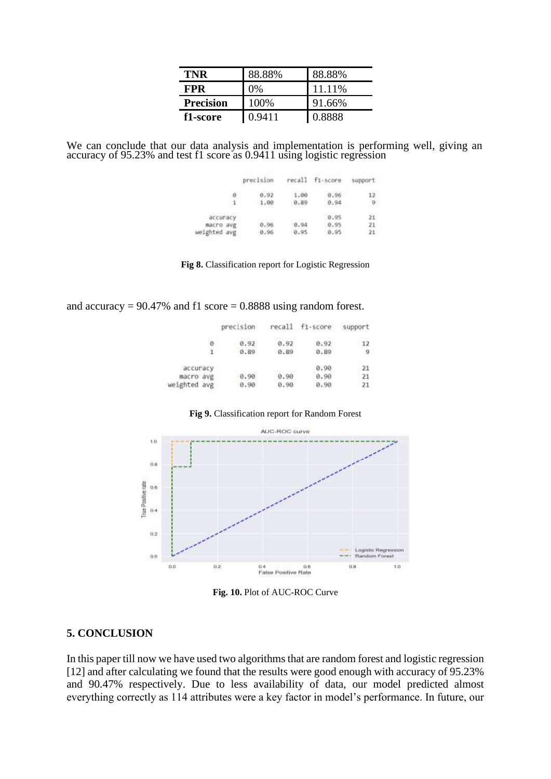| TNR              | 88.88% | 88.88% |
|------------------|--------|--------|
| <b>FPR</b>       | 0%     | 11.11% |
| <b>Precision</b> | 100\%  | 91.66% |
| f1-score         | 0.9411 | 0.8888 |

We can conclude that our data analysis and implementation is performing well, giving an accuracy of 95.23% and test f1 score as 0.9411 using logistic regression

|              | precision | recall | fi-score | support |
|--------------|-----------|--------|----------|---------|
| Ð            | 0.92      | 1.00   | 0.96     |         |
| $\mathbf{1}$ | 1.00      | 0.89   | 0.94     |         |
| accuracy     |           |        | 0.95     |         |
| macro avg    | 0.96      | 0.94   | 0.95     | $21 -$  |
| eighted avg  | 8.96      | 0.95   | 0.95     | 21      |

**Fig 8.** Classification report for Logistic Regression

and accuracy =  $90.47\%$  and f1 score = 0.8888 using random forest.

|              | precision |      | recall f1-score | support |
|--------------|-----------|------|-----------------|---------|
| 8            | 0.92      | 0.92 | 0.92            | 12      |
|              | 0.89      | 0.89 | 0.89            | -9      |
| accuracy     |           |      | 0.90            | 21      |
| macro avg    | 0.90      | 0.90 | 0.90            | 21      |
| weighted avg | 0.90.     | 0.90 | 0.90            | 21      |

#### **Fig 9.** Classification report for Random Forest



**Fig. 10.** Plot of AUC-ROC Curve

#### **5. CONCLUSION**

In this paper till now we have used two algorithms that are random forest and logistic regression [12] and after calculating we found that the results were good enough with accuracy of 95.23% and 90.47% respectively. Due to less availability of data, our model predicted almost everything correctly as 114 attributes were a key factor in model's performance. In future, our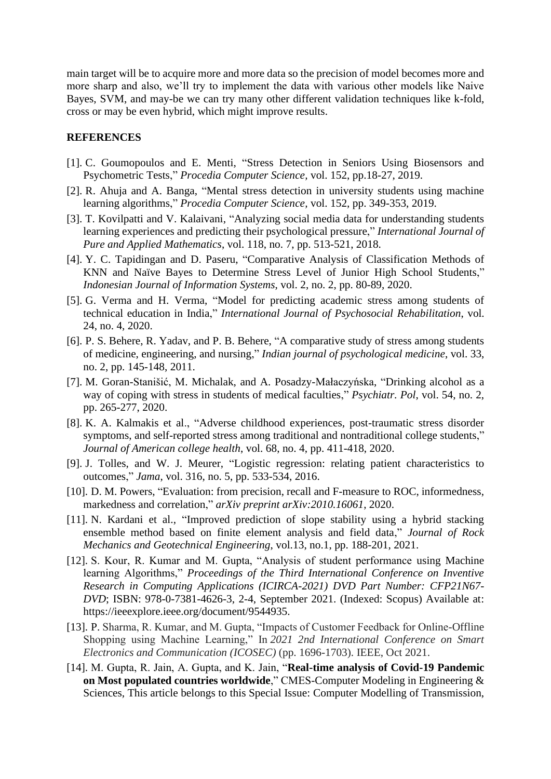main target will be to acquire more and more data so the precision of model becomes more and more sharp and also, we'll try to implement the data with various other models like Naive Bayes, SVM, and may-be we can try many other different validation techniques like k-fold, cross or may be even hybrid, which might improve results.

#### **REFERENCES**

- [1]. C. Goumopoulos and E. Menti, "Stress Detection in Seniors Using Biosensors and Psychometric Tests," *Procedia Computer Science,* vol. 152, pp.18-27, 2019.
- [2]. R. Ahuja and A. Banga, "Mental stress detection in university students using machine learning algorithms," *Procedia Computer Science,* vol. 152, pp. 349-353, 2019.
- [3]. T. Kovilpatti and V. Kalaivani, "Analyzing social media data for understanding students learning experiences and predicting their psychological pressure," *International Journal of Pure and Applied Mathematics*, vol. 118, no. 7, pp. 513-521, 2018.
- [4]. Y. C. Tapidingan and D. Paseru, "Comparative Analysis of Classification Methods of KNN and Naïve Bayes to Determine Stress Level of Junior High School Students," *Indonesian Journal of Information Systems*, vol. 2, no. 2, pp. 80-89, 2020.
- [5]. G. Verma and H. Verma, "Model for predicting academic stress among students of technical education in India," *International Journal of Psychosocial Rehabilitation*, vol. 24, no. 4, 2020.
- [6]. P. S. Behere, R. Yadav, and P. B. Behere, "A comparative study of stress among students of medicine, engineering, and nursing," *Indian journal of psychological medicine*, vol. 33, no. 2, pp. 145-148, 2011.
- [7]. M. Goran-Stanišić, M. Michalak, and A. Posadzy-Małaczyńska, "Drinking alcohol as a way of coping with stress in students of medical faculties," *Psychiatr. Pol*, vol. 54, no. 2, pp. 265-277, 2020.
- [8]. K. A. Kalmakis et al., "Adverse childhood experiences, post-traumatic stress disorder symptoms, and self-reported stress among traditional and nontraditional college students," *Journal of American college health*, vol. 68, no. 4, pp. 411-418, 2020.
- [9]. J. Tolles, and W. J. Meurer, "Logistic regression: relating patient characteristics to outcomes," *Jama*, vol. 316, no. 5, pp. 533-534, 2016.
- [10]. D. M. Powers, "Evaluation: from precision, recall and F-measure to ROC, informedness, markedness and correlation," *arXiv preprint arXiv:2010.16061*, 2020.
- [11]. N. Kardani et al., "Improved prediction of slope stability using a hybrid stacking ensemble method based on finite element analysis and field data," *Journal of Rock Mechanics and Geotechnical Engineering*, vol.13, no.1, pp. 188-201, 2021.
- [12]. S. Kour, R. Kumar and M. Gupta, "Analysis of student performance using Machine learning Algorithms," *Proceedings of the Third International Conference on Inventive Research in Computing Applications (ICIRCA-2021) DVD Part Number: CFP21N67- DVD*; ISBN: 978-0-7381-4626-3, 2-4, September 2021. (Indexed: Scopus) Available at: https://ieeexplore.ieee.org/document/9544935.
- [13]. P. Sharma, R. Kumar, and M. Gupta, "Impacts of Customer Feedback for Online-Offline Shopping using Machine Learning," In *2021 2nd International Conference on Smart Electronics and Communication (ICOSEC)* (pp. 1696-1703). IEEE, Oct 2021.
- [14]. M. Gupta, R. Jain, A. Gupta, and K. Jain, "**Real-time analysis of Covid-19 Pandemic on Most populated countries worldwide**," CMES-Computer Modeling in Engineering & Sciences, This article belongs to this Special Issue: [Computer Modelling of Transmission,](https://www.techscience.com/CMES/special_detail/cmes_covid-19)